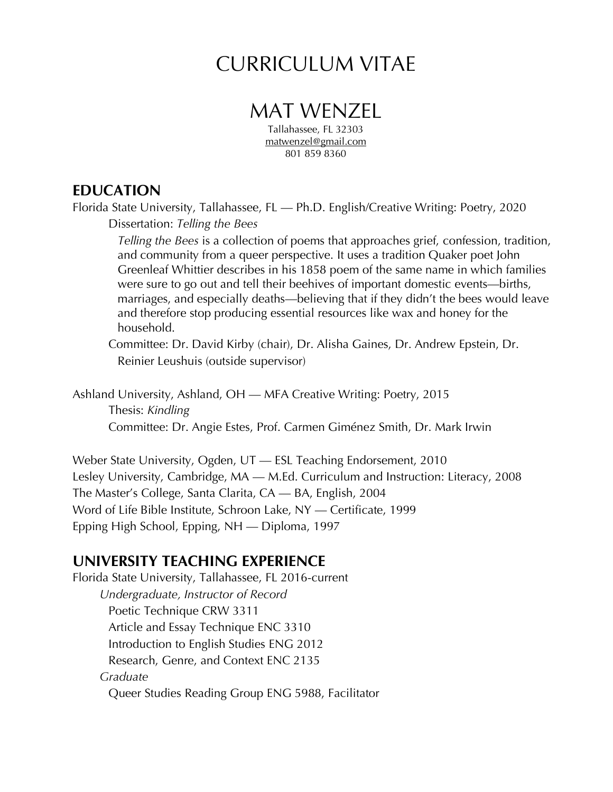# CURRICULUM VITAE

# MAT WENZEL

Tallahassee, FL 32303 matwenzel@gmail.com 801 859 8360

## **EDUCATION**

Florida State University, Tallahassee, FL — Ph.D. English/Creative Writing: Poetry, 2020 Dissertation: *Telling the Bees*

*Telling the Bees* is a collection of poems that approaches grief, confession, tradition, and community from a queer perspective. It uses a tradition Quaker poet John Greenleaf Whittier describes in his 1858 poem of the same name in which families were sure to go out and tell their beehives of important domestic events—births, marriages, and especially deaths—believing that if they didn't the bees would leave and therefore stop producing essential resources like wax and honey for the household.

Committee: Dr. David Kirby (chair), Dr. Alisha Gaines, Dr. Andrew Epstein, Dr. Reinier Leushuis (outside supervisor)

Ashland University, Ashland, OH — MFA Creative Writing: Poetry, 2015 Thesis: *Kindling* Committee: Dr. Angie Estes, Prof. Carmen Giménez Smith, Dr. Mark Irwin

Weber State University, Ogden, UT — ESL Teaching Endorsement, 2010 Lesley University, Cambridge, MA — M.Ed. Curriculum and Instruction: Literacy, 2008 The Master's College, Santa Clarita, CA — BA, English, 2004 Word of Life Bible Institute, Schroon Lake, NY — Certificate, 1999 Epping High School, Epping, NH — Diploma, 1997

## **UNIVERSITY TEACHING EXPERIENCE**

Florida State University, Tallahassee, FL 2016-current *Undergraduate, Instructor of Record* Poetic Technique CRW 3311 Article and Essay Technique ENC 3310 Introduction to English Studies ENG 2012 Research, Genre, and Context ENC 2135 *Graduate* Queer Studies Reading Group ENG 5988, Facilitator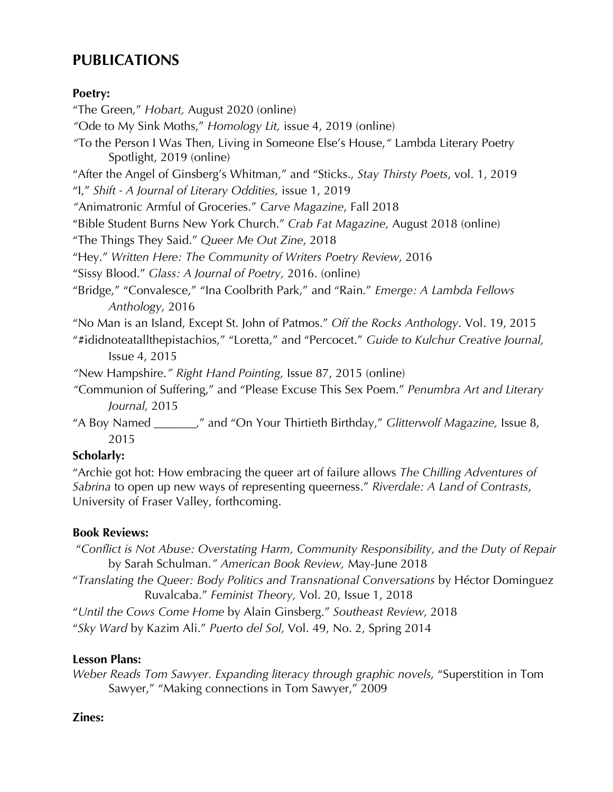## **PUBLICATIONS**

#### **Poetry:**

"The Green," *Hobart,* August 2020 (online) *"*Ode to My Sink Moths," *Homology Lit,* issue 4, 2019 (online) *"*To the Person I Was Then, Living in Someone Else's House,*"* Lambda Literary Poetry Spotlight, 2019 (online) "After the Angel of Ginsberg's Whitman," and "Sticks., *Stay Thirsty Poets*, vol. 1, 2019 "I," *Shift - A Journal of Literary Oddities,* issue 1, 2019 *"*Animatronic Armful of Groceries." *Carve Magazine*, Fall 2018 "Bible Student Burns New York Church." *Crab Fat Magazine,* August 2018 (online) "The Things They Said." *Queer Me Out Zine*, 2018 "Hey." *Written Here: The Community of Writers Poetry Review*, 2016 "Sissy Blood." *Glass: A Journal of Poetry,* 2016. (online) "Bridge," "Convalesce," "Ina Coolbrith Park," and "Rain." *Emerge: A Lambda Fellows Anthology,* 2016 "No Man is an Island, Except St. John of Patmos." *Off the Rocks Anthology*. Vol. 19, 2015 "#ididnoteatallthepistachios," "Loretta," and "Percocet." *Guide to Kulchur Creative Journal,* Issue 4, 2015 *"*New Hampshire.*" Right Hand Pointing,* Issue 87, 2015 (online) *"*Communion of Suffering," and "Please Excuse This Sex Poem." *Penumbra Art and Literary Journal,* 2015 "A Boy Named \_\_\_\_\_\_\_," and "On Your Thirtieth Birthday," *Glitterwolf Magazine,* Issue 8, 2015 **Scholarly:**

"Archie got hot: How embracing the queer art of failure allows *The Chilling Adventures of Sabrina* to open up new ways of representing queerness." *Riverdale: A Land of Contrasts*, University of Fraser Valley, forthcoming.

### **Book Reviews:**

"*Conflict is Not Abuse: Overstating Harm, Community Responsibility, and the Duty of Repair* by Sarah Schulman.*" American Book Review,* May-June 2018 "*Translating the Queer: Body Politics and Transnational Conversations* by Héctor Dominguez Ruvalcaba." *Feminist Theory,* Vol. 20, Issue 1, 2018 "*Until the Cows Come Home* by Alain Ginsberg." *Southeast Review,* 2018 "*Sky Ward* by Kazim Ali." *Puerto del Sol,* Vol. 49, No. 2, Spring 2014

### **Lesson Plans:**

*Weber Reads Tom Sawyer. Expanding literacy through graphic novels,* "Superstition in Tom Sawyer," "Making connections in Tom Sawyer," 2009

### **Zines:**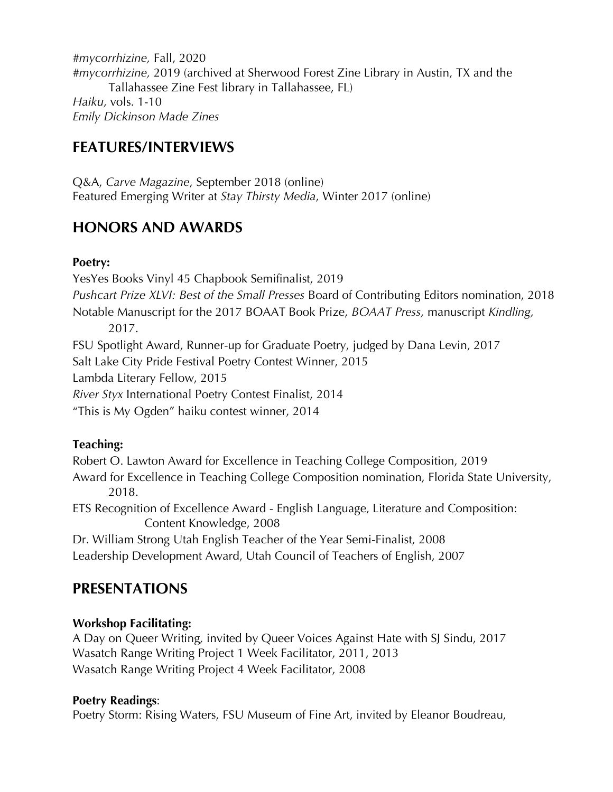*#mycorrhizine,* Fall, 2020 *#mycorrhizine,* 2019 (archived at Sherwood Forest Zine Library in Austin, TX and the Tallahassee Zine Fest library in Tallahassee, FL) *Haiku,* vols. 1-10 *Emily Dickinson Made Zines*

## **FEATURES/INTERVIEWS**

Q&A, *Carve Magazine*, September 2018 (online) Featured Emerging Writer at *Stay Thirsty Media*, Winter 2017 (online)

## **HONORS AND AWARDS**

#### **Poetry:**

YesYes Books Vinyl 45 Chapbook Semifinalist, 2019 *Pushcart Prize XLVI: Best of the Small Presses* Board of Contributing Editors nomination, 2018 Notable Manuscript for the 2017 BOAAT Book Prize, *BOAAT Press,* manuscript *Kindling,* 2017.

FSU Spotlight Award, Runner-up for Graduate Poetry, judged by Dana Levin, 2017

Salt Lake City Pride Festival Poetry Contest Winner, 2015

Lambda Literary Fellow, 2015

*River Styx* International Poetry Contest Finalist, 2014

"This is My Ogden" haiku contest winner, 2014

#### **Teaching:**

Robert O. Lawton Award for Excellence in Teaching College Composition, 2019

Award for Excellence in Teaching College Composition nomination, Florida State University, 2018.

ETS Recognition of Excellence Award - English Language, Literature and Composition: Content Knowledge, 2008

Dr. William Strong Utah English Teacher of the Year Semi-Finalist, 2008 Leadership Development Award, Utah Council of Teachers of English, 2007

## **PRESENTATIONS**

#### **Workshop Facilitating:**

A Day on Queer Writing*,* invited by Queer Voices Against Hate with SJ Sindu, 2017 Wasatch Range Writing Project 1 Week Facilitator, 2011, 2013 Wasatch Range Writing Project 4 Week Facilitator, 2008

#### **Poetry Readings**:

Poetry Storm: Rising Waters, FSU Museum of Fine Art, invited by Eleanor Boudreau,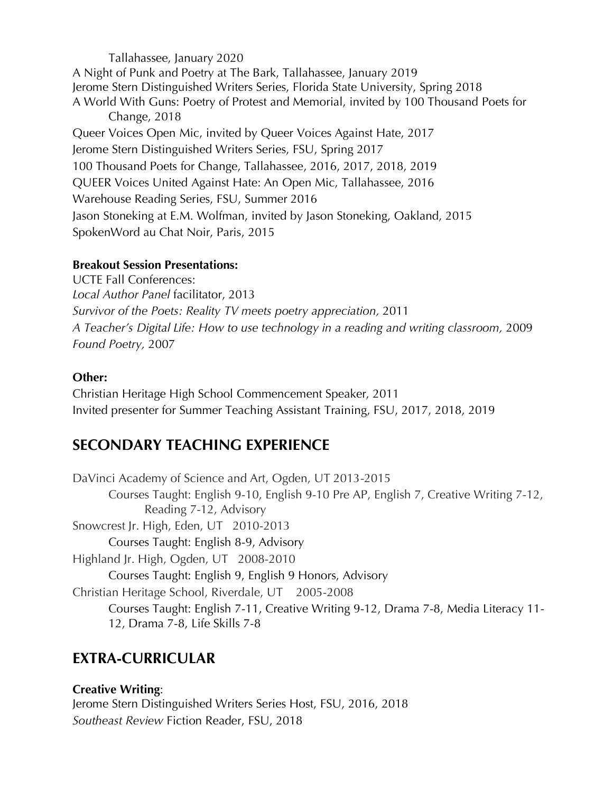Tallahassee, January 2020 A Night of Punk and Poetry at The Bark, Tallahassee, January 2019 Jerome Stern Distinguished Writers Series, Florida State University, Spring 2018 A World With Guns: Poetry of Protest and Memorial, invited by 100 Thousand Poets for Change, 2018 Queer Voices Open Mic, invited by Queer Voices Against Hate, 2017 Jerome Stern Distinguished Writers Series, FSU, Spring 2017 100 Thousand Poets for Change, Tallahassee, 2016, 2017, 2018, 2019 QUEER Voices United Against Hate: An Open Mic, Tallahassee, 2016 Warehouse Reading Series, FSU, Summer 2016 Jason Stoneking at E.M. Wolfman, invited by Jason Stoneking, Oakland, 2015 SpokenWord au Chat Noir, Paris, 2015

#### **Breakout Session Presentations:**

UCTE Fall Conferences: *Local Author Panel* facilitator, 2013 *Survivor of the Poets: Reality TV meets poetry appreciation,* 2011 *A Teacher's Digital Life: How to use technology in a reading and writing classroom,* 2009 *Found Poetry,* 2007

#### **Other:**

Christian Heritage High School Commencement Speaker, 2011 Invited presenter for Summer Teaching Assistant Training, FSU, 2017, 2018, 2019

## **SECONDARY TEACHING EXPERIENCE**

DaVinci Academy of Science and Art, Ogden, UT 2013-2015 Courses Taught: English 9-10, English 9-10 Pre AP, English 7, Creative Writing 7-12, Reading 7-12, Advisory Snowcrest Jr. High, Eden, UT 2010-2013 Courses Taught: English 8-9, Advisory Highland Jr. High, Ogden, UT 2008-2010 Courses Taught: English 9, English 9 Honors, Advisory Christian Heritage School, Riverdale, UT 2005-2008 Courses Taught: English 7-11, Creative Writing 9-12, Drama 7-8, Media Literacy 11- 12, Drama 7-8, Life Skills 7-8

## **EXTRA-CURRICULAR**

### **Creative Writing**:

Jerome Stern Distinguished Writers Series Host, FSU, 2016, 2018 *Southeast Review* Fiction Reader, FSU, 2018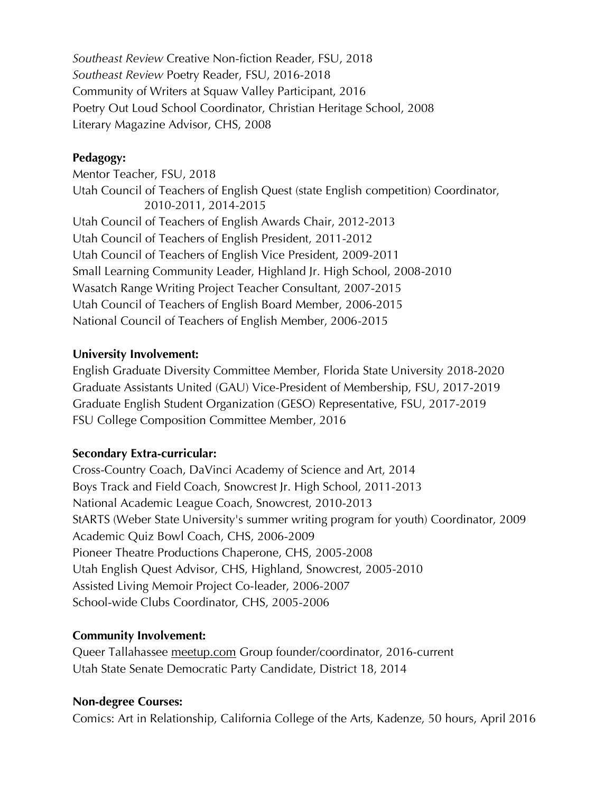*Southeast Review* Creative Non-fiction Reader, FSU, 2018 *Southeast Review* Poetry Reader, FSU, 2016-2018 Community of Writers at Squaw Valley Participant, 2016 Poetry Out Loud School Coordinator, Christian Heritage School, 2008 Literary Magazine Advisor, CHS, 2008

#### **Pedagogy:**

Mentor Teacher, FSU, 2018 Utah Council of Teachers of English Quest (state English competition) Coordinator, 2010-2011, 2014-2015 Utah Council of Teachers of English Awards Chair, 2012-2013 Utah Council of Teachers of English President, 2011-2012 Utah Council of Teachers of English Vice President, 2009-2011 Small Learning Community Leader, Highland Jr. High School, 2008-2010 Wasatch Range Writing Project Teacher Consultant, 2007-2015 Utah Council of Teachers of English Board Member, 2006-2015 National Council of Teachers of English Member, 2006-2015

#### **University Involvement:**

English Graduate Diversity Committee Member, Florida State University 2018-2020 Graduate Assistants United (GAU) Vice-President of Membership, FSU, 2017-2019 Graduate English Student Organization (GESO) Representative, FSU, 2017-2019 FSU College Composition Committee Member, 2016

#### **Secondary Extra-curricular:**

Cross-Country Coach, DaVinci Academy of Science and Art, 2014 Boys Track and Field Coach, Snowcrest Jr. High School, 2011-2013 National Academic League Coach, Snowcrest, 2010-2013 StARTS (Weber State University's summer writing program for youth) Coordinator, 2009 Academic Quiz Bowl Coach, CHS, 2006-2009 Pioneer Theatre Productions Chaperone, CHS, 2005-2008 Utah English Quest Advisor, CHS, Highland, Snowcrest, 2005-2010 Assisted Living Memoir Project Co-leader, 2006-2007 School-wide Clubs Coordinator, CHS, 2005-2006

#### **Community Involvement:**

Queer Tallahassee meetup.com Group founder/coordinator, 2016-current Utah State Senate Democratic Party Candidate, District 18, 2014

#### **Non-degree Courses:**

Comics: Art in Relationship, California College of the Arts, Kadenze, 50 hours, April 2016